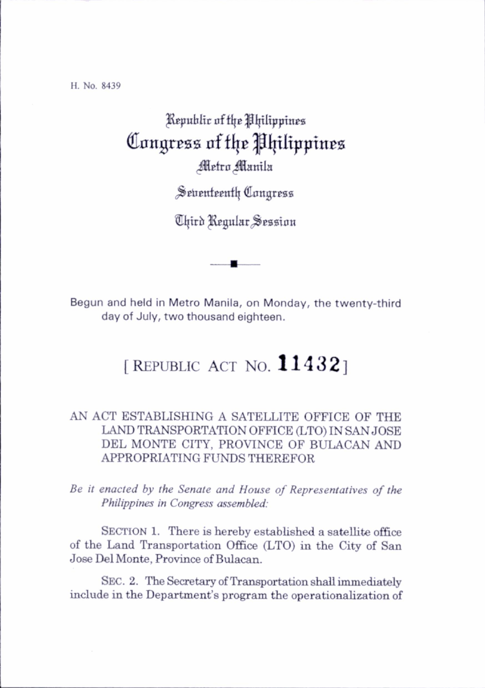H. No. 8439

## Republic of the Philippines Congress of the Philippines <sup>Metro</sup> Manila

Seventeenth Congress

Chird Regular Session

Begun and held in Metro Manila, on Monday, the twenty-third day of July, two thousand eighteen.

## [REPUBLIC ACT NO.  $11432$ ]

## AN ACT ESTABLISHING A SATELLITE OFFICE OF THE LAND TRANSPORTATION OFFICE (LTO) IN SAN JOSE DEL MONTE CITY, PROVINCE OF BULACAN AND APPROPRIATING FUNDS THEREFOR

Be it enacted by the Senate and House of Representatives of the Philippines in Congress assembled:

SECTION 1. There is hereby established a satellite office of the Land Transportation Office (LTO) in the City of San Jose Del Monte, Province of Bulacan.

Sec. 2. The Secretary of Transportation shall immediately include in the Department's program the operationalization of